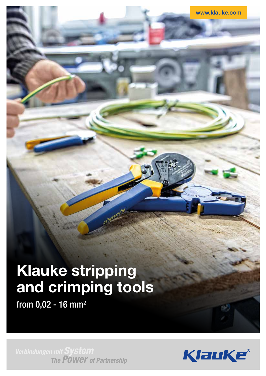# Klauke stripping and crimping tools

from  $0,02 - 16$  mm<sup>2</sup>

Verbindungen mit System<br>The POWET of Partnership

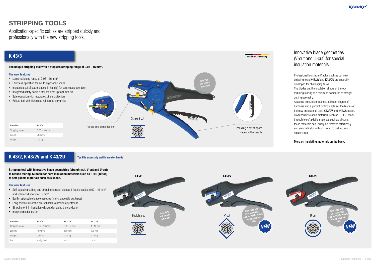Application-specific cables are stripped quickly and professionally with the new stripping tools.



# STRIPPING TOOLS

## K 43/2, K 43/2V and K 43/2U

#### The new features

- Self-adjusting cutting and stripping tools for standard flexible cables 0.02 16 mm<sup>2</sup> and solid conductors to 1.5 mm<sup>2</sup>
- Easily-replaceable blade cassettes (interchangeable cut types)
- Long service life of the pliers thanks to precise adjustment
- Stripping of thin insulation without damaging the conductor
- Integrated cable cutter

Stripping tool with innovative blade geometries (straight cut, V-cut and U-cut) to reduce tearing. Suitable for hard insulation materials such as PTFE (Teflon) to soft pliable materials such as silicone.



| Item No.:        | K43/2                       | K43/2V                     | K43/2U                   |
|------------------|-----------------------------|----------------------------|--------------------------|
| Stripping range: | $0.02 - 10$ mm <sup>2</sup> | $0.08 - 4$ mm <sup>2</sup> | $4 - 16$ mm <sup>2</sup> |
| Length:          | 190 mm                      | 190 mm                     | 190 mm                   |
| Weight:          | $0.14$ kg                   | $0.14$ kg                  | $0.14$ kg                |
| Cut:             | straight cut                | V-cut                      | U-cut                    |

Tip: Fits especially well in smaller hands

Professional tools from Klauke, such as our new stripping tools K43/2V and K43/2U are speciallydeveloped for challenging tasks.

The blades cut the insulation all round, thereby reducing tearing to a minimum compared to straight cutting geometry.



A special production method, optimum degree of hardness and a perfect cutting angle set the blades of the new professional tools K43/2V and K43/2U apart. From hard insulation materials, such as PTFE (Teflon) through to soft pliable materials such as silicone, these materials can usually be removed effortlessly and automatically, without having to making any adjustments.

#### More on insulating materials on the back.



### Innovative blade geometries (V-cut and U-cut) for special insulation materials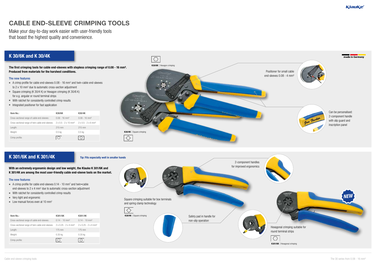#### The new features

- $\blacksquare$  A crimp profile for cable end-sleeves 0.08 16 mm<sup>2</sup> and twin-cable end-sleeves to 2 x 10 mm<sup>2</sup> due to automatic cross-section adjustment
- Square crimping (K 30/4 K) or Hexagon crimping (K 30/6 K) for e.g. angular or round terminal strips
- $\blacksquare$  With ratchet for consistently controlled crimp results
- $\blacksquare$  Integrated positioner for fast application

The first crimping tools for cable end-sleeves with stepless crimping range of 0.08 - 16 mm². Produced from materials for the harshest conditions.



Can be personalised: 2-component handle with slip guard and inscription panel

| Item No.:                                                                                     | <b>K30/6K</b>               | <b>K30/4K</b>                               |
|-----------------------------------------------------------------------------------------------|-----------------------------|---------------------------------------------|
| Cross-sectional range of cable end-sleeves:                                                   | $0.08 - 16$ mm <sup>2</sup> | $0.08 - 16$ mm <sup>2</sup>                 |
| Cross-sectional range of twin cable end-sleeves: $2 \times 0.5 - 2 \times 10$ mm <sup>2</sup> |                             | $2 \times 0.5 - 2 \times 6$ mm <sup>2</sup> |
| Length:                                                                                       | $215$ mm                    | $215$ mm                                    |
| Weight:                                                                                       | 0.5 <sub>kq</sub>           | 0.5 <sub>kq</sub>                           |
| Crimp profile:                                                                                |                             |                                             |

# CABLE END-SLEEVE CRIMPING TOOLS

#### The new features

- $\blacksquare$  A crimp profile for cable end-sleeves 0.14 10 mm<sup>2</sup> and twin-cable end-sleeves to 2 x 4 mm<sup>2</sup> due to automatic cross-section adjustment
- With ratchet for consistently controlled crimp results
- very light and ergonomic
- $\blacksquare$  Low manual forces even at 10 mm<sup>2</sup>

With an extremely ergonomic design and low weight, the Klauke K 301/6K and K 301/4K are among the most user-friendly cable end-sleeve tools on the market.

# K 301/6K and K 301/4K

# K 30/6K and K 30/4K

| Item No.:                                                                                     | K301/6K                     | K301/4K                                      |
|-----------------------------------------------------------------------------------------------|-----------------------------|----------------------------------------------|
| Cross-sectional range of cable end-sleeves:                                                   | $0.14 - 10$ mm <sup>2</sup> | $0.14 - 10$ mm <sup>2</sup>                  |
| Cross-sectional range of twin cable end-sleeves: $2 \times 0.25 - 2 \times 4$ mm <sup>2</sup> |                             | $2 \times 0.25 - 2 \times 4$ mm <sup>2</sup> |
| Length:                                                                                       | $175$ mm                    | 175 mm                                       |
| Weight:                                                                                       | $0.35$ kg                   | $0.35$ kg                                    |
| Crimp profile:                                                                                |                             |                                              |





made in Germany





Make your day-to-day work easier with user-friendly tools that boast the highest quality and convenience.

#### Tip: Fits especially well in smaller hands